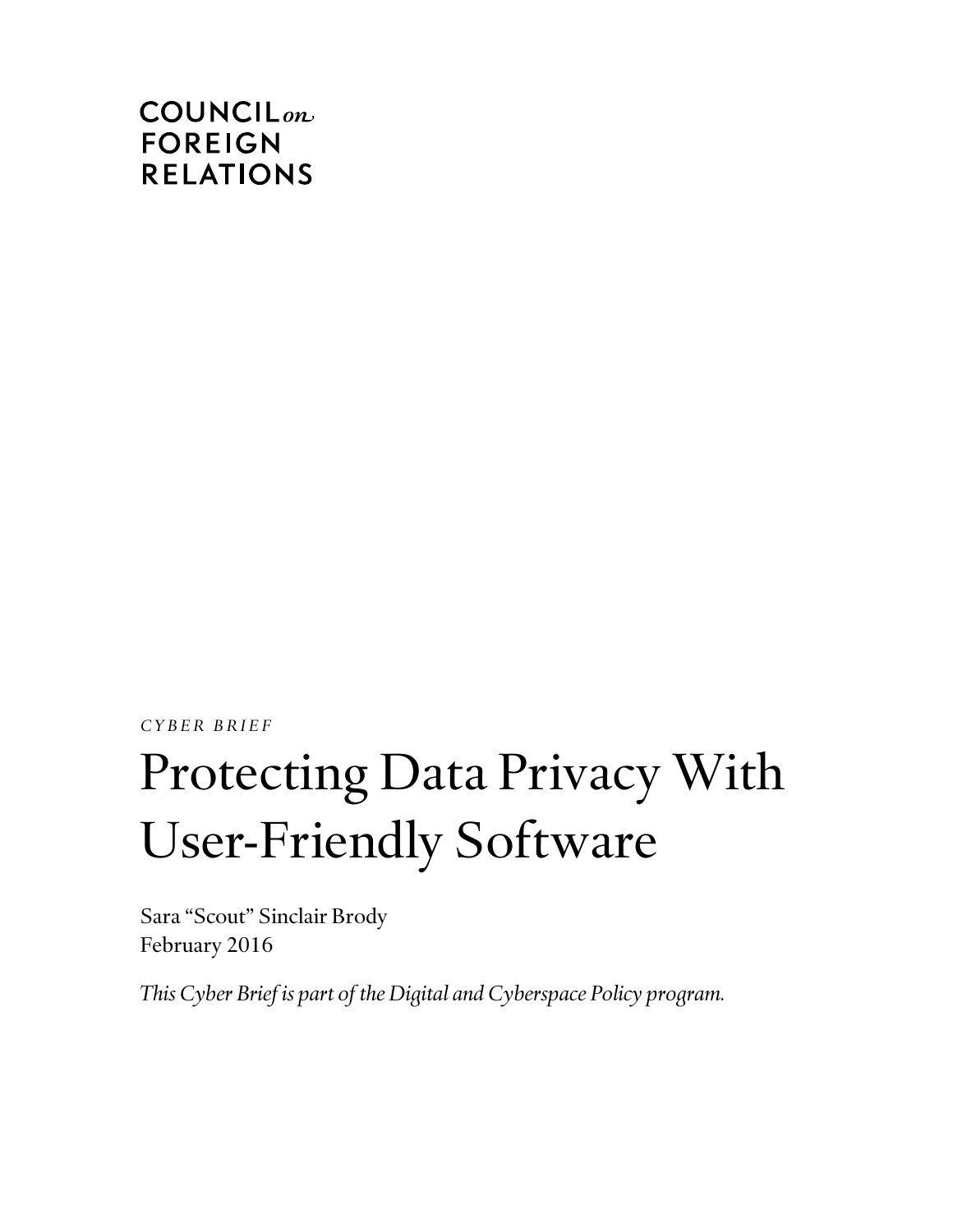## **COUNCIL**<sub>on</sub> **FOREIGN RELATIONS**

*C Y B E R B R I E F*

# Protecting Data Privacy With User-Friendly Software

Sara "Scout" Sinclair Brody February 2016

*This Cyber Brief is part of the Digital and Cyberspace Policy program.*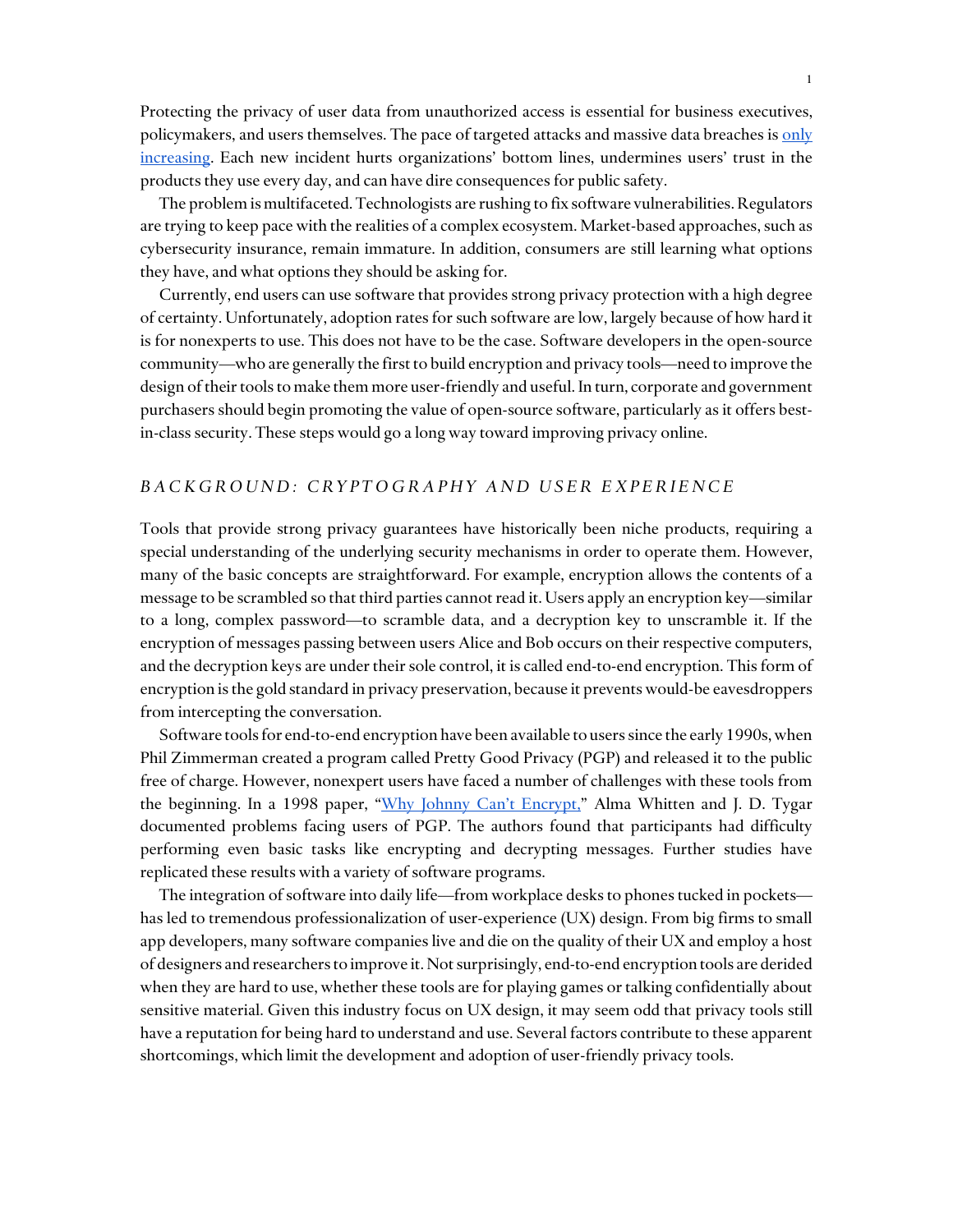Protecting the privacy of user data from unauthorized access is essential for business executives, policymakers, and users themselves. The pace of targeted attacks and massive data breaches is only [increasing.](http://www.pewinternet.org/2014/10/29/cyber-attacks-likely-to-increase/) Each new incident hurts organizations' bottom lines, undermines users' trust in the products they use every day, and can have dire consequences for public safety.

The problem is multifaceted. Technologists are rushing to fix software vulnerabilities. Regulators are trying to keep pace with the realities of a complex ecosystem. Market-based approaches, such as cybersecurity insurance, remain immature. In addition, consumers are still learning what options they have, and what options they should be asking for.

Currently, end users can use software that provides strong privacy protection with a high degree of certainty. Unfortunately, adoption rates for such software are low, largely because of how hard it is for nonexperts to use. This does not have to be the case. Software developers in the open-source community—who are generally the first to build encryption and privacy tools—need to improve the design of their tools to make them more user-friendly and useful. In turn, corporate and government purchasers should begin promoting the value of open-source software, particularly as it offers bestin-class security. These steps would go a long way toward improving privacy online.

#### *B A C K G R O U N D : C R Y P T O G R A P H Y A N D U S E R E X P E R I E N C E*

Tools that provide strong privacy guarantees have historically been niche products, requiring a special understanding of the underlying security mechanisms in order to operate them. However, many of the basic concepts are straightforward. For example, encryption allows the contents of a message to be scrambled so that third parties cannot read it. Users apply an encryption key—similar to a long, complex password—to scramble data, and a decryption key to unscramble it. If the encryption of messages passing between users Alice and Bob occurs on their respective computers, and the decryption keys are under their sole control, it is called end-to-end encryption. This form of encryption is the gold standard in privacy preservation, because it prevents would-be eavesdroppers from intercepting the conversation.

Software tools for end-to-end encryption have been available to users since the early 1990s, when Phil Zimmerman created a program called Pretty Good Privacy (PGP) and released it to the public free of charge. However, nonexpert users have faced a number of challenges with these tools from the beginning. In a 1998 paper, ["Why Johnny Can't Encrypt](http://www.gaudior.net/alma/johnny.pdf)," Alma Whitten and J. D. Tygar documented problems facing users of PGP. The authors found that participants had difficulty performing even basic tasks like encrypting and decrypting messages. Further studies have replicated these results with a variety of software programs.

The integration of software into daily life—from workplace desks to phones tucked in pockets has led to tremendous professionalization of user-experience (UX) design. From big firms to small app developers, many software companies live and die on the quality of their UX and employ a host of designers and researchers to improve it. Not surprisingly, end-to-end encryption tools are derided when they are hard to use, whether these tools are for playing games or talking confidentially about sensitive material. Given this industry focus on UX design, it may seem odd that privacy tools still have a reputation for being hard to understand and use. Several factors contribute to these apparent shortcomings, which limit the development and adoption of user-friendly privacy tools.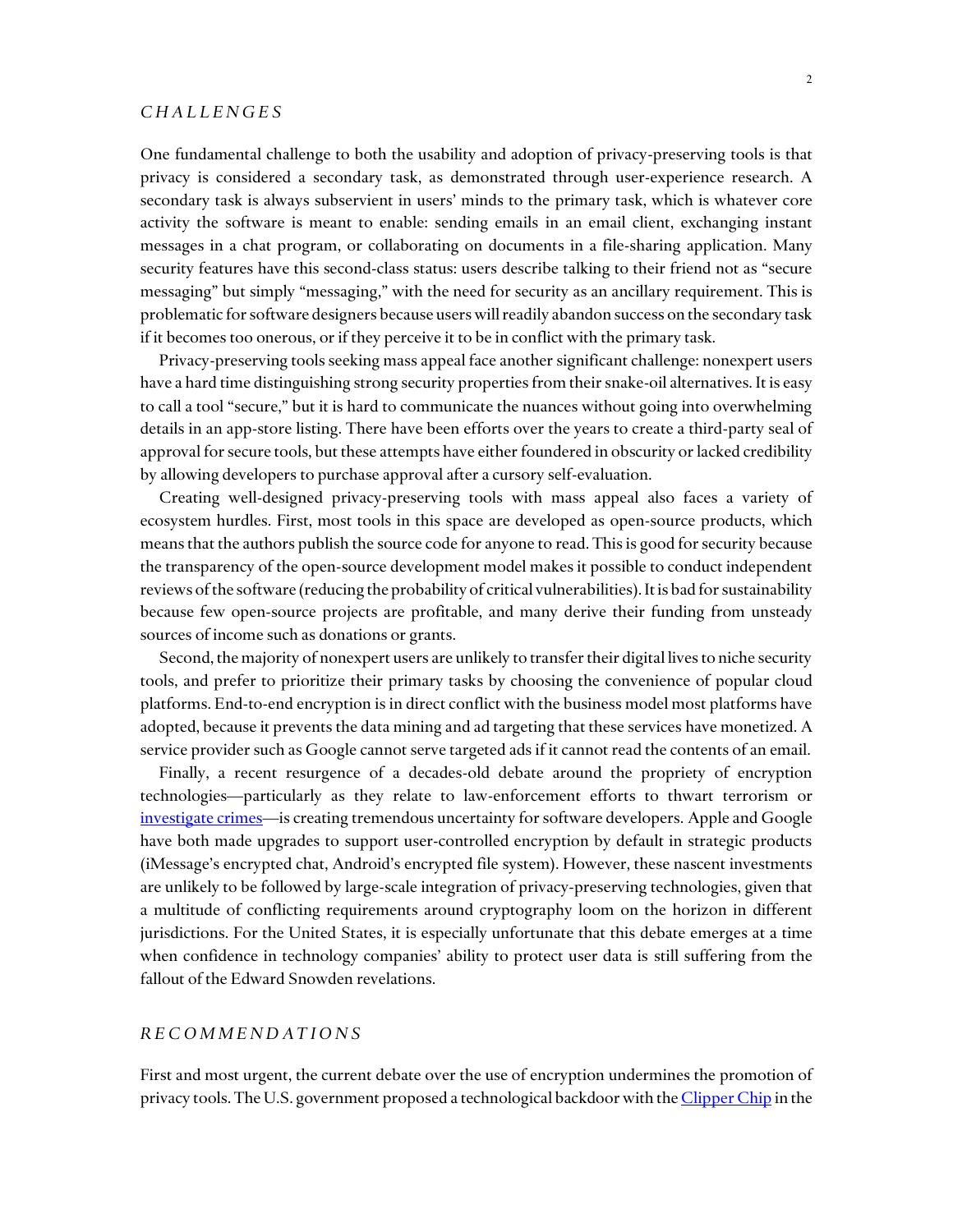#### *C H A L L E N G E S*

One fundamental challenge to both the usability and adoption of privacy-preserving tools is that privacy is considered a secondary task, as demonstrated through user-experience research. A secondary task is always subservient in users' minds to the primary task, which is whatever core activity the software is meant to enable: sending emails in an email client, exchanging instant messages in a chat program, or collaborating on documents in a file-sharing application. Many security features have this second-class status: users describe talking to their friend not as "secure messaging" but simply "messaging," with the need for security as an ancillary requirement. This is problematic for software designers because users will readily abandon success on the secondary task if it becomes too onerous, or if they perceive it to be in conflict with the primary task.

Privacy-preserving tools seeking mass appeal face another significant challenge: nonexpert users have a hard time distinguishing strong security properties from their snake-oil alternatives. It is easy to call a tool "secure," but it is hard to communicate the nuances without going into overwhelming details in an app-store listing. There have been efforts over the years to create a third-party seal of approval for secure tools, but these attempts have either foundered in obscurity or lacked credibility by allowing developers to purchase approval after a cursory self-evaluation.

Creating well-designed privacy-preserving tools with mass appeal also faces a variety of ecosystem hurdles. First, most tools in this space are developed as open-source products, which means that the authors publish the source code for anyone to read. This is good for security because the transparency of the open-source development model makes it possible to conduct independent reviews of the software (reducing the probability of critical vulnerabilities). It is bad for sustainability because few open-source projects are profitable, and many derive their funding from unsteady sources of income such as donations or grants.

Second, the majority of nonexpert users are unlikely to transfer their digital lives to niche security tools, and prefer to prioritize their primary tasks by choosing the convenience of popular cloud platforms. End-to-end encryption is in direct conflict with the business model most platforms have adopted, because it prevents the data mining and ad targeting that these services have monetized. A service provider such as Google cannot serve targeted ads if it cannot read the contents of an email.

Finally, a recent resurgence of a decades-old debate around the propriety of encryption technologies—particularly as they relate to law-enforcement efforts to thwart terrorism or [investigate crimes](http://www.nytimes.com/2015/08/12/opinion/apple-google-when-phone-encryption-blocks-justice.html)—is creating tremendous uncertainty for software developers. Apple and Google have both made upgrades to support user-controlled encryption by default in strategic products (iMessage's encrypted chat, Android's encrypted file system). However, these nascent investments are unlikely to be followed by large-scale integration of privacy-preserving technologies, given that a multitude of conflicting requirements around cryptography loom on the horizon in different jurisdictions. For the United States, it is especially unfortunate that this debate emerges at a time when confidence in technology companies' ability to protect user data is still suffering from the fallout of the Edward Snowden revelations.

#### *R E C O M M E N D A T I O N S*

First and most urgent, the current debate over the use of encryption undermines the promotion of privacy tools. The U.S. government proposed a technological backdoor with th[e Clipper Chip](https://epic.org/crypto/clipper/) in the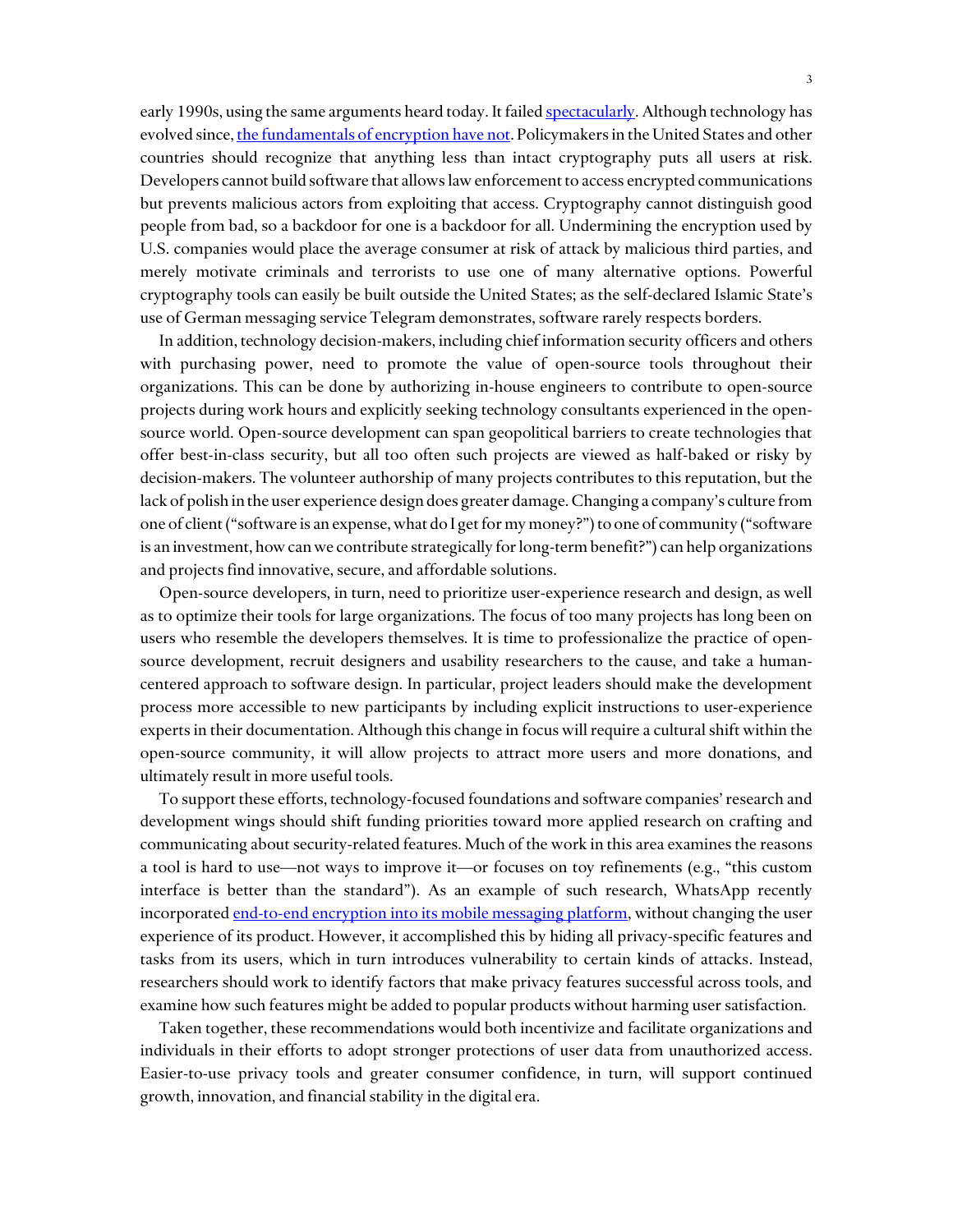early 1990s, using the same arguments heard today. It faile[d spectacularly.](https://en.wikipedia.org/wiki/Clipper_chip#Backlash) Although technology has evolved since[, the fundamentals of encryption have not.](https://www.schneier.com/cryptography/paperfiles/paper-keys-under-doormats-CSAIL.pdf) Policymakers in the United States and other countries should recognize that anything less than intact cryptography puts all users at risk. Developers cannot build software that allows law enforcement to access encrypted communications but prevents malicious actors from exploiting that access. Cryptography cannot distinguish good people from bad, so a backdoor for one is a backdoor for all. Undermining the encryption used by U.S. companies would place the average consumer at risk of attack by malicious third parties, and merely motivate criminals and terrorists to use one of many alternative options. Powerful cryptography tools can easily be built outside the United States; as the self-declared Islamic State's use of German messaging service Telegram demonstrates, software rarely respects borders.

In addition, technology decision-makers, including chief information security officers and others with purchasing power, need to promote the value of open-source tools throughout their organizations. This can be done by authorizing in-house engineers to contribute to open-source projects during work hours and explicitly seeking technology consultants experienced in the opensource world. Open-source development can span geopolitical barriers to create technologies that offer best-in-class security, but all too often such projects are viewed as half-baked or risky by decision-makers. The volunteer authorship of many projects contributes to this reputation, but the lack of polish in the user experience design does greater damage.Changing a company's culture from one of client ("software is an expense, what do I get for my money?") to one of community ("software is an investment, how can we contribute strategically for long-term benefit?") can help organizations and projects find innovative, secure, and affordable solutions.

Open-source developers, in turn, need to prioritize user-experience research and design, as well as to optimize their tools for large organizations. The focus of too many projects has long been on users who resemble the developers themselves. It is time to professionalize the practice of opensource development, recruit designers and usability researchers to the cause, and take a humancentered approach to software design. In particular, project leaders should make the development process more accessible to new participants by including explicit instructions to user-experience experts in their documentation. Although this change in focus will require a cultural shift within the open-source community, it will allow projects to attract more users and more donations, and ultimately result in more useful tools.

To support these efforts, technology-focused foundations and software companies' research and development wings should shift funding priorities toward more applied research on crafting and communicating about security-related features. Much of the work in this area examines the reasons a tool is hard to use—not ways to improve it—or focuses on toy refinements (e.g., "this custom interface is better than the standard"). As an example of such research, WhatsApp recently incorporated end-to-end encryption [into its mobile messaging platform,](http://www.wsj.com/articles/moxie-marlinspike-the-coder-who-encrypted-your-texts-1436486274) without changing the user experience of its product. However, it accomplished this by hiding all privacy-specific features and tasks from its users, which in turn introduces vulnerability to certain kinds of attacks. Instead, researchers should work to identify factors that make privacy features successful across tools, and examine how such features might be added to popular products without harming user satisfaction.

Taken together, these recommendations would both incentivize and facilitate organizations and individuals in their efforts to adopt stronger protections of user data from unauthorized access. Easier-to-use privacy tools and greater consumer confidence, in turn, will support continued growth, innovation, and financial stability in the digital era.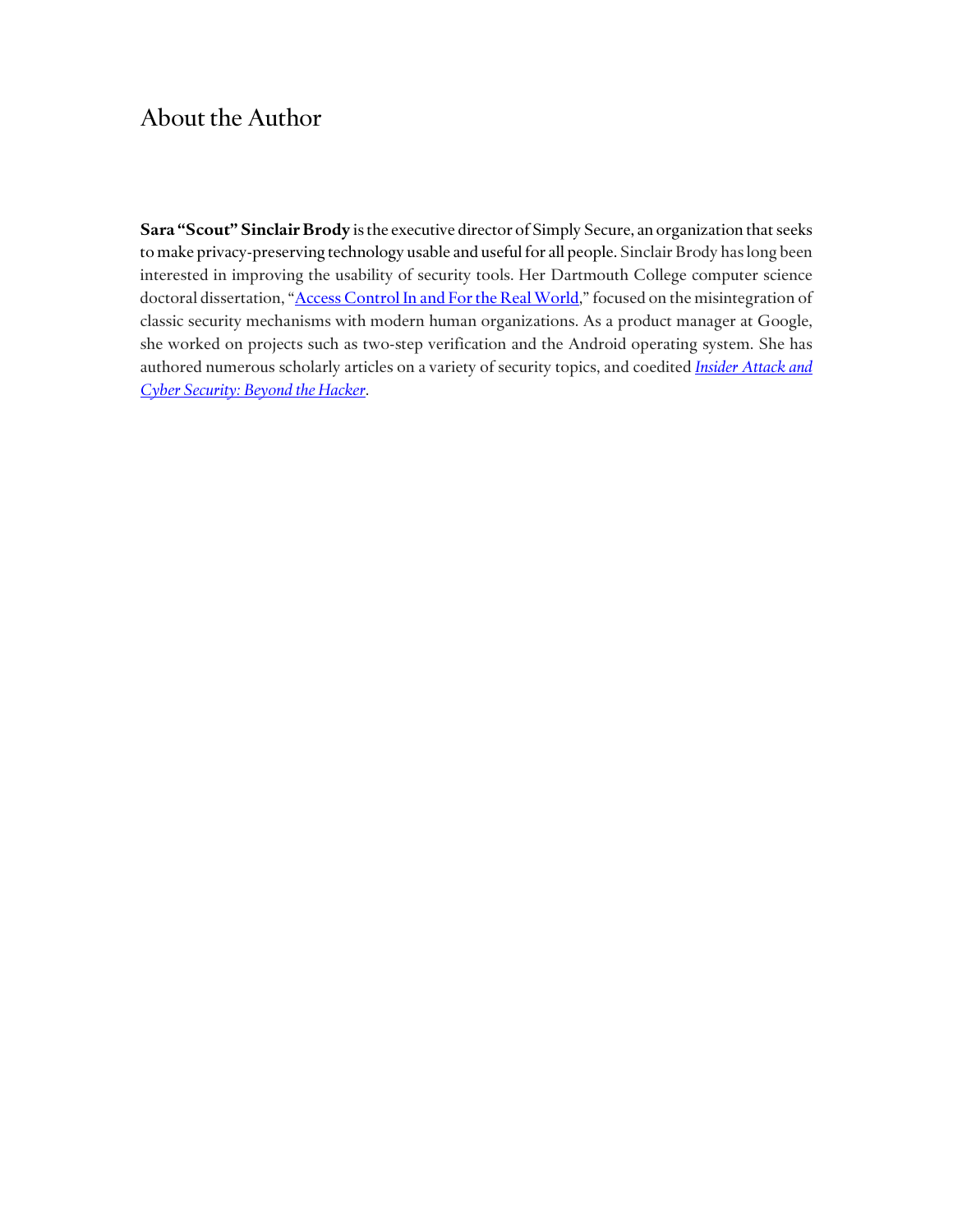### About the Author

**Sara "Scout" Sinclair Brody** is the executive director of Simply Secure, an organization that seeks to make privacy-preserving technology usable and useful for all people. Sinclair Brody has long been interested in improving the usability of security tools. Her Dartmouth College computer science doctoral dissertation, "[Access Control In and For the Real World,](http://www.cs.dartmouth.edu/reports/TR2013-745.pdf)" focused on the misintegration of classic security mechanisms with modern human organizations. As a product manager at Google, she worked on projects such as two-step verification and the Android operating system. She has authored numerous scholarly articles on a variety of security topics, and coedited *[Insider Attack and](http://www.springer.com/us/book/9780387773216)  [Cyber Security: Beyond the Hacker](http://www.springer.com/us/book/9780387773216)*.